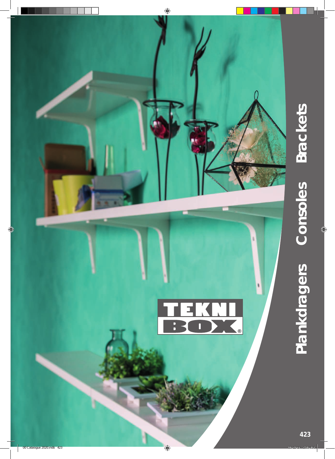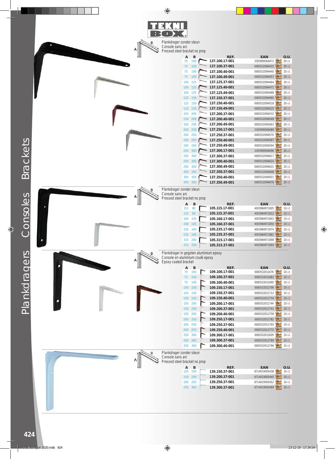|                        |  | Plankdrager zonder steun<br>Console sans arc<br>Pressed steel bracket no prop                      |                    |                                  |                             |               |
|------------------------|--|----------------------------------------------------------------------------------------------------|--------------------|----------------------------------|-----------------------------|---------------|
|                        |  | A<br>75                                                                                            | B<br>100           | <b>REF.</b><br>137.100.17-001    | <b>EAN</b><br>3393999569472 | O.U.          |
|                        |  | 75                                                                                                 | 100                | 137.100.37-001                   | 0083532094433               | 20 x1<br>20x1 |
|                        |  | 75                                                                                                 | 100                | 137.100.40-001                   | 0083532094440               | 20 x1         |
|                        |  | 75                                                                                                 | 100                | 137.100.49-001                   | 0083532094457               | 20 x1         |
|                        |  |                                                                                                    | 100 125            | 137.125.37-001                   | 0083532094464               | 20 x1         |
|                        |  |                                                                                                    | 100 125            | 137.125.40-001                   | 0083532094471               | 20x1          |
|                        |  | 100                                                                                                | 125                | 137.125.49-001                   | 0083532094488               | 20 x1         |
|                        |  |                                                                                                    | 125 150            | 137.150.37-001                   | 0083532094495               | 20 x1         |
|                        |  | 125                                                                                                | 150                | 137.150.40-001                   | 0083532094518               | 20 x1         |
|                        |  |                                                                                                    | 125 150            | 137.150.49-001                   | 0083532094525               | 20 x1         |
|                        |  | 150                                                                                                | 200                | 137.200.37-001                   | 0083532094532               | 20 x1         |
|                        |  |                                                                                                    | 150 200            | 137.200.40-001                   | 0083532094549               | 20 x1         |
|                        |  | 150                                                                                                | 200                | 137.200.49-001                   | 0083532094563               | 20 x1         |
|                        |  |                                                                                                    | 200 250            | 137.250.17-001                   | 3393999569489               | 20x1          |
|                        |  | 200                                                                                                | 250                | 137.250.37-001                   | 0083532094570               | 20 x1         |
|                        |  | 200                                                                                                | 250                | 137.250.40-001                   | 0083532094587               | 20 x1         |
|                        |  | 200                                                                                                | 250                | 137.250.49-001                   | 0083532094594               | 20 x1         |
| $S$ $\leftrightarrow$  |  |                                                                                                    | 250 300            | 137.300.17-001                   | 3393999569496               | 20 x1         |
|                        |  | 250                                                                                                | 300                | 137.300.37-001                   | 0083532094617               | 20 x1         |
|                        |  |                                                                                                    | 250 300            | 137.300.40-001                   | 0083532094624               | 20x1          |
| Bra                    |  | 250                                                                                                | 300                | 137.300.49-001                   | 0083532094631               | 20 x1         |
|                        |  |                                                                                                    | 300 350            | 137.350.37-001                   | 0083532094648               | 20x1          |
|                        |  | 300                                                                                                | 350                | 137.350.40-001                   | 0083532094921               | 20 x1         |
|                        |  |                                                                                                    | 300 350            | 137.350.49-001                   | 0083532094976 20 x1         |               |
| $\overline{\text{CS}}$ |  | Plankdrager zonder steun<br>Console sans arc<br>Pressed steel bracket no prop                      |                    |                                  |                             |               |
|                        |  | Α                                                                                                  | в                  | <b>REF.</b>                      | <b>EAN</b>                  | O.U.          |
| Onsol                  |  | 115                                                                                                | 80                 | 105.115.17-001                   | 4003984971805               | 10x1          |
|                        |  | 115                                                                                                | 80                 | 105.115.37-001                   | 4003984971812               | 10x1          |
|                        |  | 160                                                                                                | 105                | 105.160.17-001                   | 4003984971843               | 10x1          |
|                        |  |                                                                                                    | 160 105            | 105.160.37-001                   | 4003984971850               | 10x1          |
|                        |  |                                                                                                    | 235 160            | 105.235.17-001                   | 4003984971874               | 10x1          |
|                        |  |                                                                                                    | 235 160            | 105.235.37-001                   | 4003984971881               | 10x1          |
|                        |  |                                                                                                    | 315 200            | 105.315.17-001                   | 4003984971898 10 x1         |               |
|                        |  |                                                                                                    | 315 200            | 105.315.37-001                   | 4003984971904 10 x1         |               |
| dragers                |  | Plankdrager in gegoten aluminium epoxy<br>Console en aluminium coulé epoxy<br>Epoxy coated bracket |                    |                                  |                             |               |
|                        |  | Α                                                                                                  | $\overline{B}$     | <b>REF.</b>                      | <b>EAN</b>                  | 0.U.          |
|                        |  | 75                                                                                                 | 100                | 109.100.17-001                   | 0083532011676               | 10x1          |
|                        |  | 75                                                                                                 | 100                | 109.100.37-001                   | 0083532011683               | 10x1          |
|                        |  | 75                                                                                                 | 100                | 109.100.40-001                   | 0083532011690               | 10x1          |
|                        |  |                                                                                                    | 100 150            | 109.150.17-001                   | 0083532011706               | 10x1          |
|                        |  | 100                                                                                                | 150                | 109.150.37-001                   | 0083532011713               | 10x1          |
|                        |  |                                                                                                    | 100 150            | 109.150.40-001                   | 0083532012734               | 10x1          |
|                        |  | 150                                                                                                | 200                | 109.200.17-001                   | 0083532011744               | 10x1          |
| <b>Pani</b>            |  |                                                                                                    | 150 200            | 109.200.37-001                   | 0083532012741               | 10x1          |
|                        |  | 150                                                                                                | 200                | 109.200.40-001                   | 0083532012758               | 10x1          |
|                        |  |                                                                                                    | 200 250            | 109.250.17-001                   | 0083532011782               | 10x1          |
|                        |  | 200                                                                                                | 250                | 109.250.37-001                   | 0083532012765               | 10x1          |
|                        |  |                                                                                                    | 200 250            | 109.250.40-001                   | 0083532012772               | 10x1          |
|                        |  | 250                                                                                                | 300                | 109.300.17-001                   | 0083532011829               | 10x1          |
|                        |  |                                                                                                    | 250 300            | 109.300.37-001<br>109.300.40-001 | 0083532012789               | 10x1          |
|                        |  |                                                                                                    | 250 300            |                                  | 0083532012796 10 x1         |               |
|                        |  | Plankdrager zonder steun                                                                           |                    |                                  |                             |               |
|                        |  | Console sans arc                                                                                   |                    |                                  |                             |               |
|                        |  | Pressed steel bracket no prop                                                                      |                    |                                  |                             |               |
|                        |  |                                                                                                    | $A$ $B$<br>125 150 | <b>REF.</b><br>139.150.37-001    | <b>EAN</b><br>8714019005438 | 0.U.<br>10x1  |
|                        |  |                                                                                                    | 150 200            | 139.200.37-001                   | 8714019005445               | 10x1          |
|                        |  | 200                                                                                                | 250                | 139.250.37-001                   | 8714019005452 10 x1         |               |
|                        |  |                                                                                                    | 250 300            | 139.300.37-001                   | 8714019005469 10 x1         |               |
|                        |  |                                                                                                    |                    |                                  |                             |               |
|                        |  |                                                                                                    |                    |                                  |                             |               |
| 424                    |  |                                                                                                    |                    |                                  |                             |               |

424

Plankdragers Consoles Brackets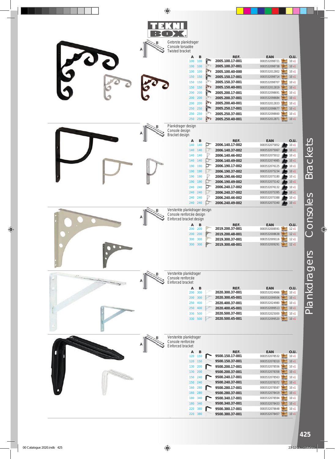| Getorste plankdrager<br>Console torsadée<br><b>Twisted bracket</b>                                                                                                |                                                                                         |                                                                                                                       |              |
|-------------------------------------------------------------------------------------------------------------------------------------------------------------------|-----------------------------------------------------------------------------------------|-----------------------------------------------------------------------------------------------------------------------|--------------|
| B<br>A                                                                                                                                                            | <b>REF.</b>                                                                             | <b>EAN</b><br>O.U.                                                                                                    |              |
| 100<br>100                                                                                                                                                        | তেত্ব<br>2005.100.17-001<br>502                                                         | 0083532098721<br>10x1                                                                                                 |              |
| 100 100<br>100<br>100                                                                                                                                             | 2005.100.37-001<br><b>SO</b><br>2005.100.40-000                                         | 0083532098738<br>10x1<br>0083532012802<br>10x1                                                                        |              |
| 150 150                                                                                                                                                           | فتفتح<br>2005.150.17-001                                                                | 0083532098714<br>10x1                                                                                                 |              |
| 150<br>150                                                                                                                                                        | 2005.150.37-001                                                                         | 0083532098707<br>10x1                                                                                                 |              |
| 150<br>150                                                                                                                                                        | 500<br>2005.150.40-001                                                                  | 0083532012819<br>10x1                                                                                                 |              |
| 200<br>200                                                                                                                                                        | فورغ<br>2005.200.17-001                                                                 | 0083532098691<br>10x1                                                                                                 |              |
| 200 200                                                                                                                                                           | <b>KO</b><br>2005.200.37-001                                                            | 0083532098684<br>10x1                                                                                                 |              |
| 200<br>200                                                                                                                                                        | <b>SO</b><br>2005.200.40-001                                                            | 0083532012833<br>10x1                                                                                                 |              |
| 250<br>250                                                                                                                                                        | موني<br>م<br>2005.250.17-001                                                            | 0083532098677<br>10x1                                                                                                 |              |
| 250<br>250                                                                                                                                                        | 2005.250.37-001                                                                         | 0083532098660<br>10x1                                                                                                 |              |
| 250<br>250                                                                                                                                                        | e.es<br>2005.250.40-001                                                                 | 0083532012871<br>10x1                                                                                                 |              |
| Plankdrager design<br>в<br>Console design<br>Bracket design<br>B<br>A<br>140<br>140<br>140<br>140                                                                 | REF.<br>⊃<br>2006.140.17-002<br>2006.140.37-002                                         | O.U.<br><b>EAN</b><br>0083532075852<br>10x1<br>0083532075067<br>$\sqrt{10 \times 1}$                                  | Brackets     |
| 140<br>140                                                                                                                                                        | 2006.140.46-002                                                                         | 0083532075012<br>$\rightarrow$ 10 x1                                                                                  |              |
| 140<br>140                                                                                                                                                        | 2006.140.49-002                                                                         | 0083532074985<br>$\bigotimes$ 10 x1                                                                                   |              |
| 190<br>190                                                                                                                                                        | 2006.190.17-002<br>ヷ                                                                    | 0083532076125<br>$\rightarrow$ 10 x1                                                                                  |              |
| 190<br>190                                                                                                                                                        | 2006.190.37-002                                                                         | 0083532075234<br>$\rightarrow$ 10 x1                                                                                  |              |
| 190<br>190                                                                                                                                                        | J<br>2006.190.46-002                                                                    | 0083532075180<br>$\rightarrow$ 10 x1                                                                                  |              |
| 190<br>190                                                                                                                                                        | 2006.190.49-002                                                                         | 0083532075142 2 10 x1                                                                                                 |              |
| 240<br>240                                                                                                                                                        | 2006.240.17-002<br>J                                                                    | 0083532076132<br>$\rightarrow$ 10 x1                                                                                  |              |
| 240<br>240                                                                                                                                                        | 2006.240.37-002                                                                         | 0083532075395<br>$\rightarrow$ 10 x1                                                                                  |              |
| 240<br>240                                                                                                                                                        | 2006.240.46-002                                                                         | 0083532075388<br>$\approx 10 \times 1$                                                                                |              |
| 240<br>240                                                                                                                                                        | 2006.240.49-002                                                                         | 0083532075340<br>$\bigotimes$ 10 x1                                                                                   |              |
| Versterkte plankdrager design<br>в<br>Console renforcée design<br>A<br>Einforced bracket design<br>B<br>A<br>200<br>200<br>200<br>200<br>300<br>300<br>300<br>300 | <b>REF.</b><br>2019.200.37-001<br>2019.200.48-001<br>2019.300.37-001<br>2019.300.48-001 | <b>EAN</b><br>O.U.<br>0083532008591<br>12 x1<br>0083532008638<br>12x1<br>0083532009116<br>12x1<br>0083532009291 12 x1 | Consoles     |
| Versterkte plankdrager<br>Console renforcée<br>Einforced bracket<br>$\boldsymbol{B}$<br>A                                                                         | REF.                                                                                    | <b>EAN</b><br>O.U.                                                                                                    | Plankdragers |
| 300<br>200                                                                                                                                                        | 2020.300.37-001                                                                         | 0083532024966<br>10x1                                                                                                 |              |
| 200 300                                                                                                                                                           | 2020.300.45-001                                                                         | 0083532099506<br>10x1                                                                                                 |              |
| 250<br>400                                                                                                                                                        | 2020.400.37-001<br>2020.400.45-001                                                      | 0083532024980<br>10x1<br>0083532099513                                                                                |              |
| 400<br>250<br>330<br>500                                                                                                                                          | 2020.500.37-001                                                                         | 10x1<br>0083532025000<br>10x1                                                                                         |              |
| 330<br>500                                                                                                                                                        | 2020.500.45-001                                                                         | 0083532099520 10 x1                                                                                                   |              |
| Versterkte plankdrager<br>Console renforcée                                                                                                                       |                                                                                         |                                                                                                                       |              |
| Einforced bracket                                                                                                                                                 |                                                                                         |                                                                                                                       |              |
| В<br>Α                                                                                                                                                            | REF.                                                                                    | <b>EAN</b><br>O.U.                                                                                                    |              |
| 120<br>150                                                                                                                                                        | 9500.150.17-001                                                                         | 0083532078532<br>10x1                                                                                                 |              |
| 120 150                                                                                                                                                           | 9500.150.37-001                                                                         | 0083532078310<br>10x1                                                                                                 |              |
| 200<br>130                                                                                                                                                        | 9500.200.17-001                                                                         | 0083532078556<br>10x1                                                                                                 |              |
| 200<br>130<br>240                                                                                                                                                 | 9500.200.37-001<br>9500.240.17-001                                                      | 0083532078358<br>10x1                                                                                                 |              |
| 150<br>150 240                                                                                                                                                    | 9500.240.37-001                                                                         | 0083532078563<br>10x1<br>0083532078372<br>10x1                                                                        |              |
| 160<br>280                                                                                                                                                        | 9500.280.17-001                                                                         | 0083532078587<br>10x1                                                                                                 |              |
| 160<br>280                                                                                                                                                        | 9500.280.37-001                                                                         | 0083532078419<br>10x1                                                                                                 |              |
| 180<br>340                                                                                                                                                        | 9500.340.17-001                                                                         | 0083532078594<br>10x1                                                                                                 |              |
| 340<br>180                                                                                                                                                        | 9500.340.37-001                                                                         | 0083532078433<br>10x1                                                                                                 |              |
| 220<br>380                                                                                                                                                        | 9500.380.17-001                                                                         | 0083532078648<br>10x1                                                                                                 |              |
| 220 380                                                                                                                                                           | 9500.380.37-001                                                                         | 0083532078457 10 x1                                                                                                   |              |
|                                                                                                                                                                   |                                                                                         |                                                                                                                       | 425          |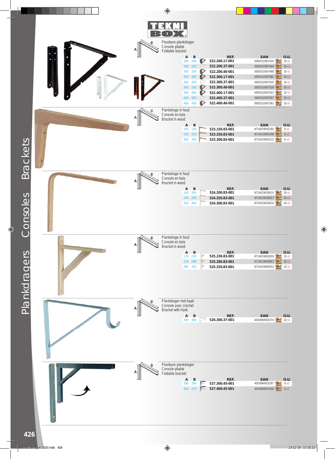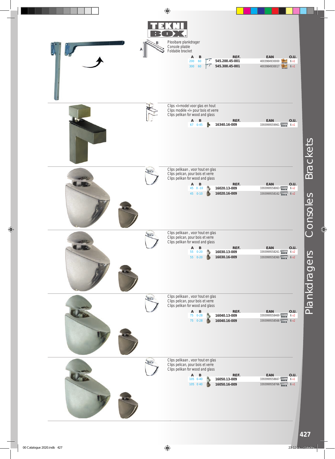| Α          | Plooibare plankdrager<br>Console pliable<br>Foldable bracket<br>REF.<br>B<br>A<br>60<br>$\overline{\phantom{a}}$<br>545.200.45-001<br>200<br>545.300.45-001<br>300<br>$\overline{\phantom{a}}$<br>60     | EAN<br>O.U.<br>4003984930000<br>6 x1<br>4003984930017<br>6 x1                    |
|------------|----------------------------------------------------------------------------------------------------------------------------------------------------------------------------------------------------------|----------------------------------------------------------------------------------|
|            | Clips «I» model voor glas en hout<br>Clips modèle «I» pour bois et verre<br>Clips pelikan for wood and glass<br>REF.<br>$A$ $B$<br>67 0-45<br>ħ<br>16340.16-009                                          | EAN<br>O.U.<br>3393999559961 1411 6 x1<br>Brackets                               |
|            | Clips pelikaan, voor hout en glas<br>Clips pelican, pour bois et verre<br>Clips pelikan for wood and glass<br>$A$ $B$<br>REF.<br>45 0-10<br>16020.13-009<br>45 0-10<br>16020.16-009                      | EAN<br>O.U.<br>3393999558063 6x2<br>3393999558162 6 x2<br>Consoles               |
| <b>HIC</b> | Clips pelikaan, voor hout en glas<br>Clips pelican, pour bois et verre<br>Clips pelikan for wood and glass<br>A<br>$\boldsymbol{B}$<br>REF.<br>55<br>16030.13-009<br>$0 - 20$<br>16030.16-009<br>55 0-20 | EAN<br>O.U.<br>3393999558261 1111 6x2<br>Plankdragers<br>3393999558360 6x2       |
|            | Clips pelikaan, voor hout en glas<br>Clips pelican, pour bois et verre<br>Clips pelikan for wood and glass<br>$A$ $B$<br>REF.<br>75 0-28<br>16040.13-009<br>16040.16-009<br>75 0-28                      | O.U.<br><b>EAN</b><br>3393999558469 6 x2<br>3393999558568 6 6 x2                 |
|            | Clips pelikaan, voor hout en glas<br>Clips pelican, pour bois et verre<br>Clips pelikan for wood and glass<br>$A$ $B$<br>REF.<br>105 0-40<br>16050.13-009<br>16050.16-009<br>105 040                     | <b>EAN</b><br>O.U.<br>3393999558667 1441 6 x1<br>3393999558766 44.00 6 x1<br>427 |